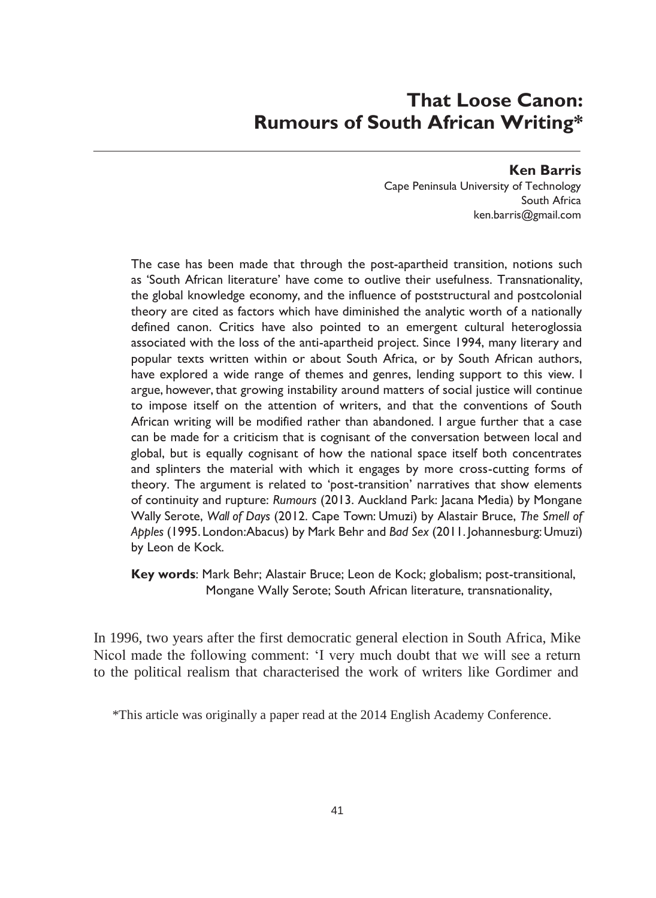## **That Loose Canon: Rumours of South African Writing\***

## **Ken Barris**

Cape Peninsula University of Technology South Afric[a](mailto:ken.barris@gmail.com) [ken.bar](mailto:ken.barris@gmail.com)[ris@gmail.com](mailto:ris@gmail.com)

The case has been made that through the post-apartheid transition, notions such as 'South African literature' have come to outlive their usefulness. Transnationality, the global knowledge economy, and the influence of poststructural and postcolonial theory are cited as factors which have diminished the analytic worth of a nationally defined canon. Critics have also pointed to an emergent cultural heteroglossia associated with the loss of the anti-apartheid project. Since 1994, many literary and popular texts written within or about South Africa, or by South African authors, have explored a wide range of themes and genres, lending support to this view. I argue, however, that growing instability around matters of social justice will continue to impose itself on the attention of writers, and that the conventions of South African writing will be modified rather than abandoned. I argue further that a case can be made for a criticism that is cognisant of the conversation between local and global, but is equally cognisant of how the national space itself both concentrates and splinters the material with which it engages by more cross-cutting forms of theory. The argument is related to 'post-transition' narratives that show elements of continuity and rupture: *Rumours* (2013. Auckland Park: Jacana Media) by Mongane Wally Serote, *Wall of Days* (2012. Cape Town: Umuzi) by Alastair Bruce, *The Smell of Apples* (1995. London:Abacus) by Mark Behr and *Bad Sex* (2011. Johannesburg:Umuzi) by Leon de Kock.

**Key words**: Mark Behr; Alastair Bruce; Leon de Kock; globalism; post-transitional, Mongane Wally Serote; South African literature, transnationality,

In 1996, two years after the first democratic general election in South Africa, Mike Nicol made the following comment: 'I very much doubt that we will see a return to the political realism that characterised the work of writers like Gordimer and

\*This article was originally a paper read at the 2014 English Academy Conference.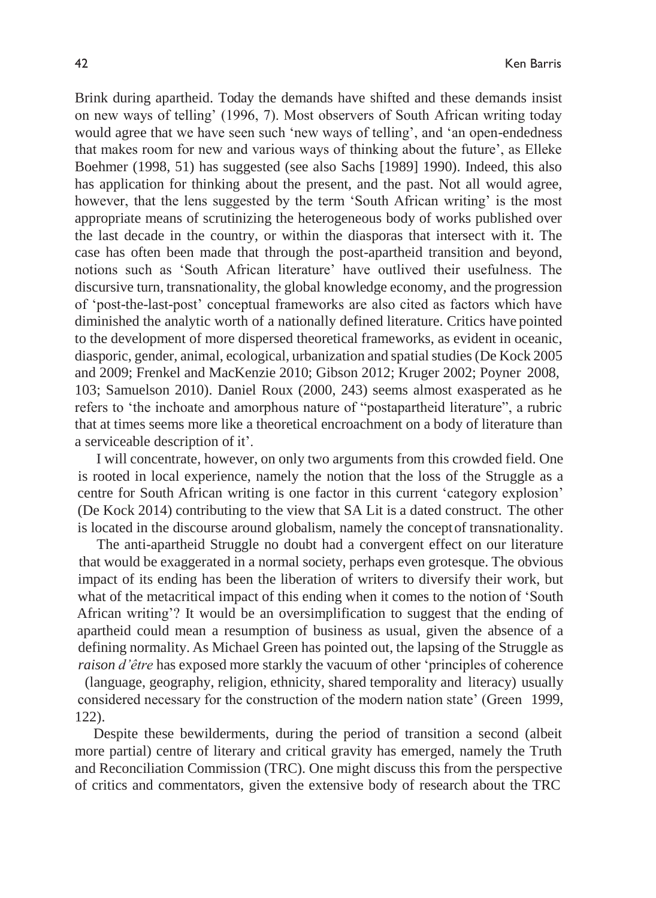Brink during apartheid. Today the demands have shifted and these demands insist on new ways of telling' (1996, 7). Most observers of South African writing today would agree that we have seen such 'new ways of telling', and 'an open-endedness that makes room for new and various ways of thinking about the future', as Elleke Boehmer (1998, 51) has suggested (see also Sachs [1989] 1990). Indeed, this also has application for thinking about the present, and the past. Not all would agree, however, that the lens suggested by the term 'South African writing' is the most appropriate means of scrutinizing the heterogeneous body of works published over the last decade in the country, or within the diasporas that intersect with it. The case has often been made that through the post-apartheid transition and beyond, notions such as 'South African literature' have outlived their usefulness. The discursive turn, transnationality, the global knowledge economy, and the progression of 'post-the-last-post' conceptual frameworks are also cited as factors which have diminished the analytic worth of a nationally defined literature. Critics have pointed to the development of more dispersed theoretical frameworks, as evident in oceanic, diasporic, gender, animal, ecological, urbanization and spatial studies (De Kock 2005) and 2009; Frenkel and MacKenzie 2010; Gibson 2012; Kruger 2002; Poyner 2008, 103; Samuelson 2010). Daniel Roux (2000, 243) seems almost exasperated as he refers to 'the inchoate and amorphous nature of "postapartheid literature", a rubric that at times seems more like a theoretical encroachment on a body of literature than a serviceable description of it'.

I will concentrate, however, on only two arguments from this crowded field. One is rooted in local experience, namely the notion that the loss of the Struggle as a centre for South African writing is one factor in this current 'category explosion' (De Kock 2014) contributing to the view that SA Lit is a dated construct. The other is located in the discourse around globalism, namely the conceptof transnationality.

The anti-apartheid Struggle no doubt had a convergent effect on our literature that would be exaggerated in a normal society, perhaps even grotesque. The obvious impact of its ending has been the liberation of writers to diversify their work, but what of the metacritical impact of this ending when it comes to the notion of 'South African writing'? It would be an oversimplification to suggest that the ending of apartheid could mean a resumption of business as usual, given the absence of a defining normality. As Michael Green has pointed out, the lapsing of the Struggle as *raison d'être* has exposed more starkly the vacuum of other 'principles of coherence

(language, geography, religion, ethnicity, shared temporality and literacy) usually considered necessary for the construction of the modern nation state' (Green 1999, 122).

Despite these bewilderments, during the period of transition a second (albeit more partial) centre of literary and critical gravity has emerged, namely the Truth and Reconciliation Commission (TRC). One might discuss this from the perspective of critics and commentators, given the extensive body of research about the TRC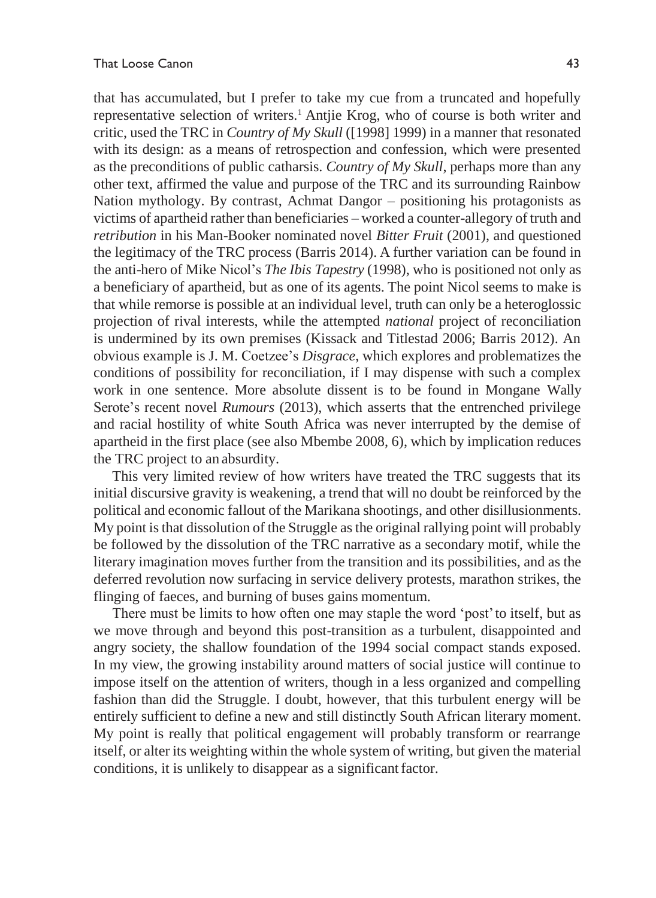that has accumulated, but I prefer to take my cue from a truncated and hopefully representative selection of writers.<sup>1</sup> Antiie Krog, who of course is both writer and critic, used the TRC in *Country of My Skull* ([1998] 1999) in a manner that resonated with its design: as a means of retrospection and confession, which were presented as the preconditions of public catharsis. *Country of My Skull*, perhaps more than any other text, affirmed the value and purpose of the TRC and its surrounding Rainbow Nation mythology. By contrast, Achmat Dangor – positioning his protagonists as victims of apartheid rather than beneficiaries – worked a counter-allegory of truth and *retribution* in his Man-Booker nominated novel *Bitter Fruit* (2001), and questioned the legitimacy of the TRC process (Barris 2014). A further variation can be found in the anti-hero of Mike Nicol's *The Ibis Tapestry* (1998), who is positioned not only as a beneficiary of apartheid, but as one of its agents. The point Nicol seems to make is that while remorse is possible at an individual level, truth can only be a heteroglossic projection of rival interests, while the attempted *national* project of reconciliation is undermined by its own premises (Kissack and Titlestad 2006; Barris 2012). An obvious example is J. M. Coetzee's *Disgrace*, which explores and problematizes the conditions of possibility for reconciliation, if I may dispense with such a complex work in one sentence. More absolute dissent is to be found in Mongane Wally Serote's recent novel *Rumours* (2013), which asserts that the entrenched privilege and racial hostility of white South Africa was never interrupted by the demise of apartheid in the first place (see also Mbembe 2008, 6), which by implication reduces the TRC project to an absurdity.

This very limited review of how writers have treated the TRC suggests that its initial discursive gravity is weakening, a trend that will no doubt be reinforced by the political and economic fallout of the Marikana shootings, and other disillusionments. My point isthat dissolution of the Struggle asthe original rallying point will probably be followed by the dissolution of the TRC narrative as a secondary motif, while the literary imagination moves further from the transition and its possibilities, and as the deferred revolution now surfacing in service delivery protests, marathon strikes, the flinging of faeces, and burning of buses gains momentum.

There must be limits to how often one may staple the word 'post'to itself, but as we move through and beyond this post-transition as a turbulent, disappointed and angry society, the shallow foundation of the 1994 social compact stands exposed. In my view, the growing instability around matters of social justice will continue to impose itself on the attention of writers, though in a less organized and compelling fashion than did the Struggle. I doubt, however, that this turbulent energy will be entirely sufficient to define a new and still distinctly South African literary moment. My point is really that political engagement will probably transform or rearrange itself, or alter its weighting within the whole system of writing, but given the material conditions, it is unlikely to disappear as a significant factor.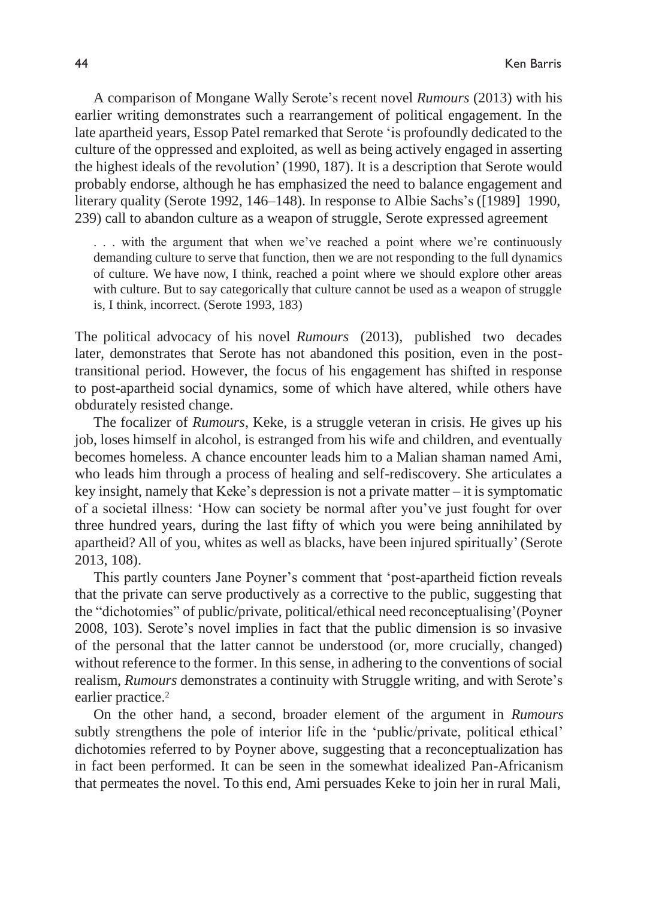A comparison of Mongane Wally Serote's recent novel *Rumours* (2013) with his earlier writing demonstrates such a rearrangement of political engagement. In the late apartheid years, Essop Patel remarked that Serote 'is profoundly dedicated to the culture of the oppressed and exploited, as well as being actively engaged in asserting the highest ideals of the revolution' (1990, 187). It is a description that Serote would probably endorse, although he has emphasized the need to balance engagement and literary quality (Serote 1992, 146–148). In response to Albie Sachs's ([1989] 1990, 239) call to abandon culture as a weapon of struggle, Serote expressed agreement

. . . with the argument that when we've reached a point where we're continuously demanding culture to serve that function, then we are not responding to the full dynamics of culture. We have now, I think, reached a point where we should explore other areas with culture. But to say categorically that culture cannot be used as a weapon of struggle is, I think, incorrect. (Serote 1993, 183)

The political advocacy of his novel *Rumours* (2013), published two decades later, demonstrates that Serote has not abandoned this position, even in the posttransitional period. However, the focus of his engagement has shifted in response to post-apartheid social dynamics, some of which have altered, while others have obdurately resisted change.

The focalizer of *Rumours*, Keke, is a struggle veteran in crisis. He gives up his job, loses himself in alcohol, is estranged from his wife and children, and eventually becomes homeless. A chance encounter leads him to a Malian shaman named Ami, who leads him through a process of healing and self-rediscovery. She articulates a key insight, namely that Keke's depression is not a private matter – it is symptomatic of a societal illness: 'How can society be normal after you've just fought for over three hundred years, during the last fifty of which you were being annihilated by apartheid? All of you, whites as well as blacks, have been injured spiritually'(Serote 2013, 108).

This partly counters Jane Poyner's comment that 'post-apartheid fiction reveals that the private can serve productively as a corrective to the public, suggesting that the "dichotomies" of public/private, political/ethical need reconceptualising'(Poyner 2008, 103). Serote's novel implies in fact that the public dimension is so invasive of the personal that the latter cannot be understood (or, more crucially, changed) without reference to the former. In this sense, in adhering to the conventions of social realism, *Rumours* demonstrates a continuity with Struggle writing, and with Serote's earlier practice.<sup>2</sup>

On the other hand, a second, broader element of the argument in *Rumours*  subtly strengthens the pole of interior life in the 'public/private, political ethical' dichotomies referred to by Poyner above, suggesting that a reconceptualization has in fact been performed. It can be seen in the somewhat idealized Pan-Africanism that permeates the novel. To this end, Ami persuades Keke to join her in rural Mali,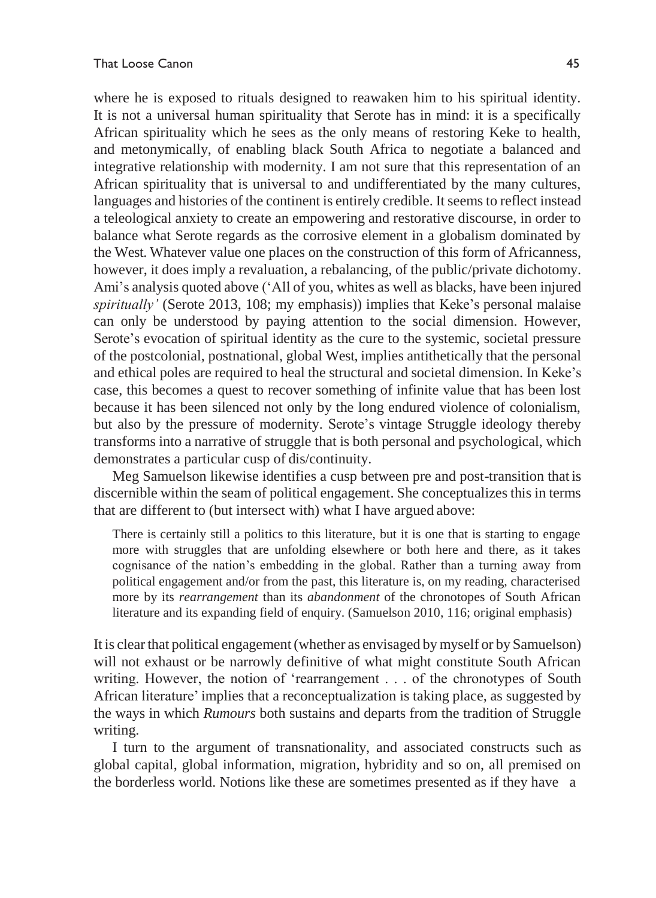where he is exposed to rituals designed to reawaken him to his spiritual identity. It is not a universal human spirituality that Serote has in mind: it is a specifically African spirituality which he sees as the only means of restoring Keke to health, and metonymically, of enabling black South Africa to negotiate a balanced and integrative relationship with modernity. I am not sure that this representation of an African spirituality that is universal to and undifferentiated by the many cultures, languages and histories of the continent is entirely credible. It seems to reflect instead a teleological anxiety to create an empowering and restorative discourse, in order to balance what Serote regards as the corrosive element in a globalism dominated by the West. Whatever value one places on the construction of this form of Africanness, however, it does imply a revaluation, a rebalancing, of the public/private dichotomy. Ami's analysis quoted above ('All of you, whites as well as blacks, have been injured *spiritually'* (Serote 2013, 108; my emphasis)) implies that Keke's personal malaise can only be understood by paying attention to the social dimension. However, Serote's evocation of spiritual identity as the cure to the systemic, societal pressure of the postcolonial, postnational, global West, implies antithetically that the personal and ethical poles are required to heal the structural and societal dimension. In Keke's case, this becomes a quest to recover something of infinite value that has been lost because it has been silenced not only by the long endured violence of colonialism, but also by the pressure of modernity. Serote's vintage Struggle ideology thereby transforms into a narrative of struggle that is both personal and psychological, which demonstrates a particular cusp of dis/continuity.

Meg Samuelson likewise identifies a cusp between pre and post-transition that is discernible within the seam of political engagement. She conceptualizes this in terms that are different to (but intersect with) what I have argued above:

There is certainly still a politics to this literature, but it is one that is starting to engage more with struggles that are unfolding elsewhere or both here and there, as it takes cognisance of the nation's embedding in the global. Rather than a turning away from political engagement and/or from the past, this literature is, on my reading, characterised more by its *rearrangement* than its *abandonment* of the chronotopes of South African literature and its expanding field of enquiry. (Samuelson 2010, 116; original emphasis)

It is clear that political engagement (whether as envisaged by myself or by Samuelson) will not exhaust or be narrowly definitive of what might constitute South African writing. However, the notion of 'rearrangement . . . of the chronotypes of South African literature' implies that a reconceptualization is taking place, as suggested by the ways in which *Rumours* both sustains and departs from the tradition of Struggle writing.

I turn to the argument of transnationality, and associated constructs such as global capital, global information, migration, hybridity and so on, all premised on the borderless world. Notions like these are sometimes presented as if they have a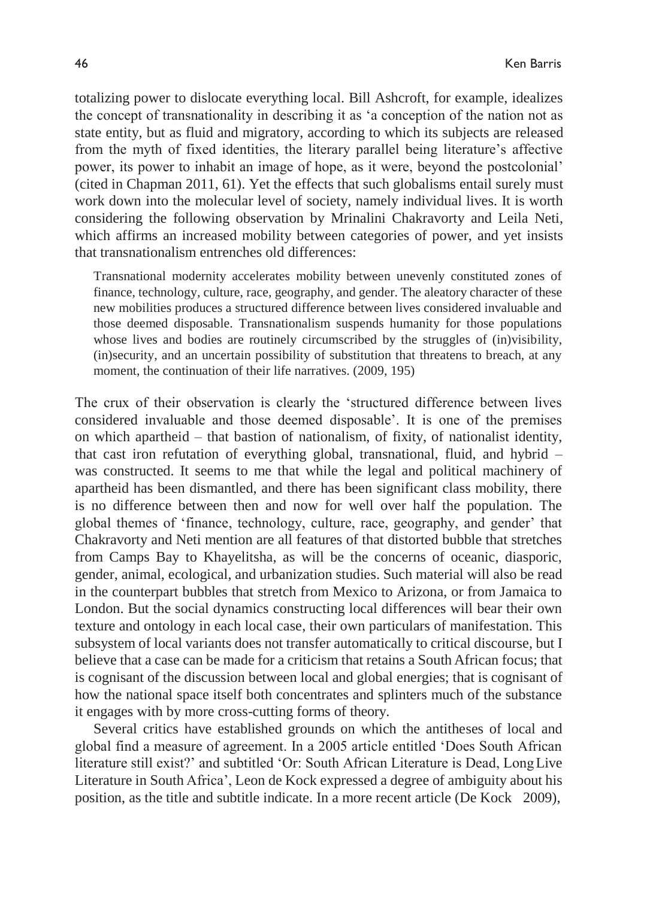totalizing power to dislocate everything local. Bill Ashcroft, for example, idealizes the concept of transnationality in describing it as 'a conception of the nation not as state entity, but as fluid and migratory, according to which its subjects are released from the myth of fixed identities, the literary parallel being literature's affective power, its power to inhabit an image of hope, as it were, beyond the postcolonial' (cited in Chapman 2011, 61). Yet the effects that such globalisms entail surely must work down into the molecular level of society, namely individual lives. It is worth considering the following observation by Mrinalini Chakravorty and Leila Neti, which affirms an increased mobility between categories of power, and yet insists that transnationalism entrenches old differences:

Transnational modernity accelerates mobility between unevenly constituted zones of finance, technology, culture, race, geography, and gender. The aleatory character of these new mobilities produces a structured difference between lives considered invaluable and those deemed disposable. Transnationalism suspends humanity for those populations whose lives and bodies are routinely circumscribed by the struggles of (in)visibility, (in)security, and an uncertain possibility of substitution that threatens to breach, at any moment, the continuation of their life narratives. (2009, 195)

The crux of their observation is clearly the 'structured difference between lives considered invaluable and those deemed disposable'. It is one of the premises on which apartheid – that bastion of nationalism, of fixity, of nationalist identity, that cast iron refutation of everything global, transnational, fluid, and hybrid – was constructed. It seems to me that while the legal and political machinery of apartheid has been dismantled, and there has been significant class mobility, there is no difference between then and now for well over half the population. The global themes of 'finance, technology, culture, race, geography, and gender' that Chakravorty and Neti mention are all features of that distorted bubble that stretches from Camps Bay to Khayelitsha, as will be the concerns of oceanic, diasporic, gender, animal, ecological, and urbanization studies. Such material will also be read in the counterpart bubbles that stretch from Mexico to Arizona, or from Jamaica to London. But the social dynamics constructing local differences will bear their own texture and ontology in each local case, their own particulars of manifestation. This subsystem of local variants does not transfer automatically to critical discourse, but I believe that a case can be made for a criticism that retains a South African focus; that is cognisant of the discussion between local and global energies; that is cognisant of how the national space itself both concentrates and splinters much of the substance it engages with by more cross-cutting forms of theory.

Several critics have established grounds on which the antitheses of local and global find a measure of agreement. In a 2005 article entitled 'Does South African literature still exist?' and subtitled 'Or: South African Literature is Dead, LongLive Literature in South Africa', Leon de Kock expressed a degree of ambiguity about his position, as the title and subtitle indicate. In a more recent article (De Kock 2009),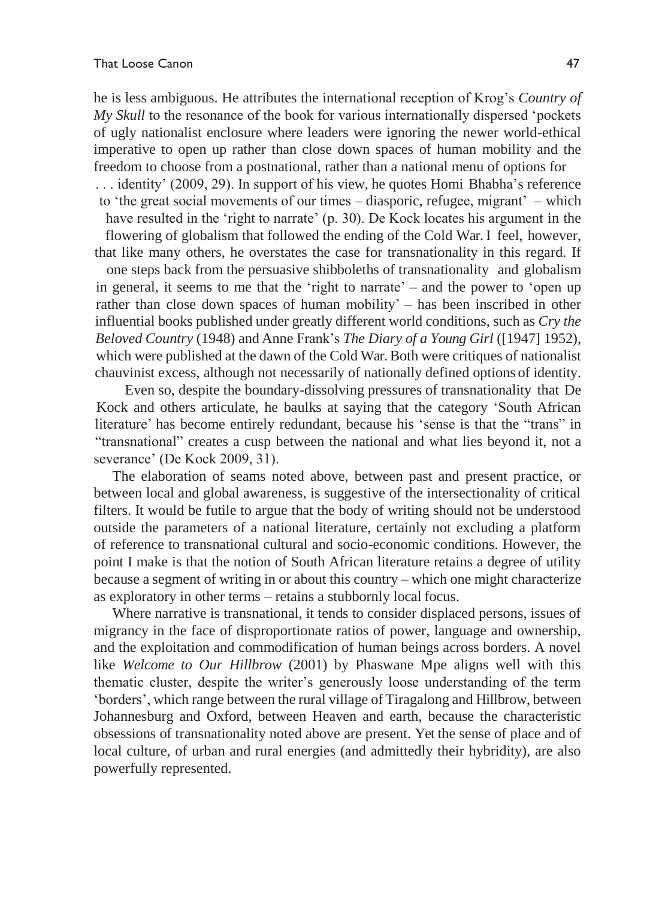he is less ambiguous. He attributes the international reception of Krog's *Country of My Skull* to the resonance of the book for various internationally dispersed 'pockets of ugly nationalist enclosure where leaders were ignoring the newer world-ethical imperative to open up rather than close down spaces of human mobility and the freedom to choose from a postnational, rather than a national menu of options for

. . . identity' (2009, 29). In support of his view, he quotes Homi Bhabha's reference to 'the great social movements of our times – diasporic, refugee, migrant' – which have resulted in the 'right to narrate' (p. 30). De Kock locates his argument in the flowering of globalism that followed the ending of the Cold War. I feel, however, that like many others, he overstates the case for transnationality in this regard. If one steps back from the persuasive shibboleths of transnationality and globalism in general, it seems to me that the 'right to narrate' – and the power to 'open up rather than close down spaces of human mobility' – has been inscribed in other influential books published under greatly different world conditions, such as *Cry the Beloved Country* (1948) and Anne Frank's *The Diary of a Young Girl* ([1947] 1952), which were published at the dawn of the Cold War. Both were critiques of nationalist chauvinist excess, although not necessarily of nationally defined options of identity.

Even so, despite the boundary-dissolving pressures of transnationality that De Kock and others articulate, he baulks at saying that the category 'South African literature' has become entirely redundant, because his 'sense is that the "trans" in "transnational" creates a cusp between the national and what lies beyond it, not a severance' (De Kock 2009, 31).

The elaboration of seams noted above, between past and present practice, or between local and global awareness, is suggestive of the intersectionality of critical filters. It would be futile to argue that the body of writing should not be understood outside the parameters of a national literature, certainly not excluding a platform of reference to transnational cultural and socio-economic conditions. However, the point I make is that the notion of South African literature retains a degree of utility because a segment of writing in or about this country – which one might characterize as exploratory in other terms – retains a stubbornly local focus.

Where narrative is transnational, it tends to consider displaced persons, issues of migrancy in the face of disproportionate ratios of power, language and ownership, and the exploitation and commodification of human beings across borders. A novel like *Welcome to Our Hillbrow* (2001) by Phaswane Mpe aligns well with this thematic cluster, despite the writer's generously loose understanding of the term 'borders', which range between the rural village of Tiragalong and Hillbrow, between Johannesburg and Oxford, between Heaven and earth, because the characteristic obsessions of transnationality noted above are present. Yet the sense of place and of local culture, of urban and rural energies (and admittedly their hybridity), are also powerfully represented.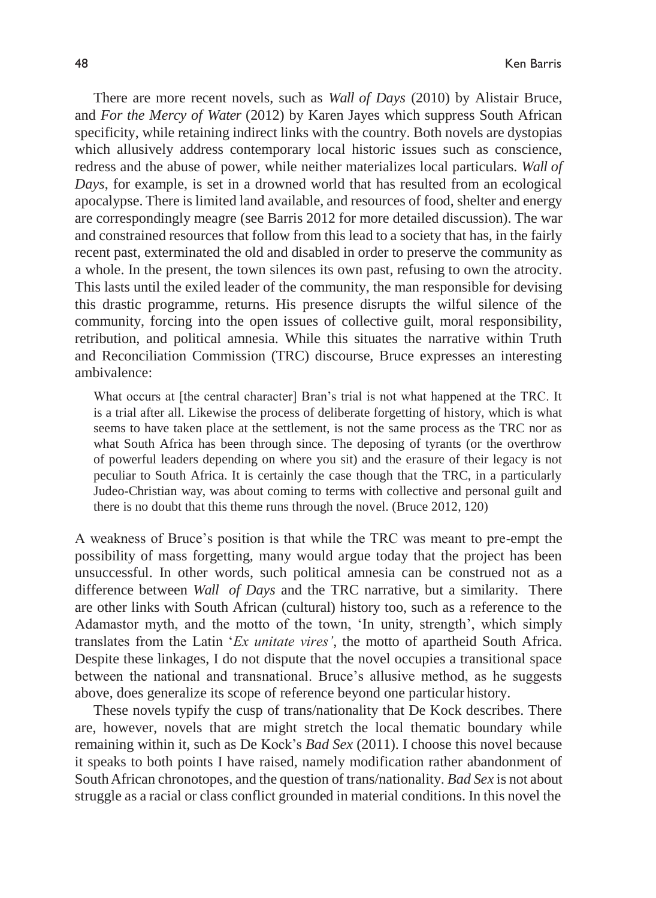There are more recent novels, such as *Wall of Days* (2010) by Alistair Bruce, and *For the Mercy of Water* (2012) by Karen Jayes which suppress South African specificity, while retaining indirect links with the country. Both novels are dystopias which allusively address contemporary local historic issues such as conscience, redress and the abuse of power, while neither materializes local particulars. *Wall of Days*, for example, is set in a drowned world that has resulted from an ecological apocalypse. There is limited land available, and resources of food, shelter and energy are correspondingly meagre (see Barris 2012 for more detailed discussion). The war and constrained resources that follow from this lead to a society that has, in the fairly recent past, exterminated the old and disabled in order to preserve the community as a whole. In the present, the town silences its own past, refusing to own the atrocity. This lasts until the exiled leader of the community, the man responsible for devising this drastic programme, returns. His presence disrupts the wilful silence of the community, forcing into the open issues of collective guilt, moral responsibility, retribution, and political amnesia. While this situates the narrative within Truth and Reconciliation Commission (TRC) discourse, Bruce expresses an interesting ambivalence:

What occurs at [the central character] Bran's trial is not what happened at the TRC. It is a trial after all. Likewise the process of deliberate forgetting of history, which is what seems to have taken place at the settlement, is not the same process as the TRC nor as what South Africa has been through since. The deposing of tyrants (or the overthrow of powerful leaders depending on where you sit) and the erasure of their legacy is not peculiar to South Africa. It is certainly the case though that the TRC, in a particularly Judeo-Christian way, was about coming to terms with collective and personal guilt and there is no doubt that this theme runs through the novel. (Bruce 2012, 120)

A weakness of Bruce's position is that while the TRC was meant to pre-empt the possibility of mass forgetting, many would argue today that the project has been unsuccessful. In other words, such political amnesia can be construed not as a difference between *Wall of Days* and the TRC narrative, but a similarity. There are other links with South African (cultural) history too, such as a reference to the Adamastor myth, and the motto of the town, 'In unity, strength', which simply translates from the Latin '*Ex unitate vires'*, the motto of apartheid South Africa. Despite these linkages, I do not dispute that the novel occupies a transitional space between the national and transnational. Bruce's allusive method, as he suggests above, does generalize its scope of reference beyond one particular history.

These novels typify the cusp of trans/nationality that De Kock describes. There are, however, novels that are might stretch the local thematic boundary while remaining within it, such as De Kock's *Bad Sex* (2011). I choose this novel because it speaks to both points I have raised, namely modification rather abandonment of SouthAfrican chronotopes, and the question of trans/nationality. *Bad Sex* is not about struggle as a racial or class conflict grounded in material conditions. In this novel the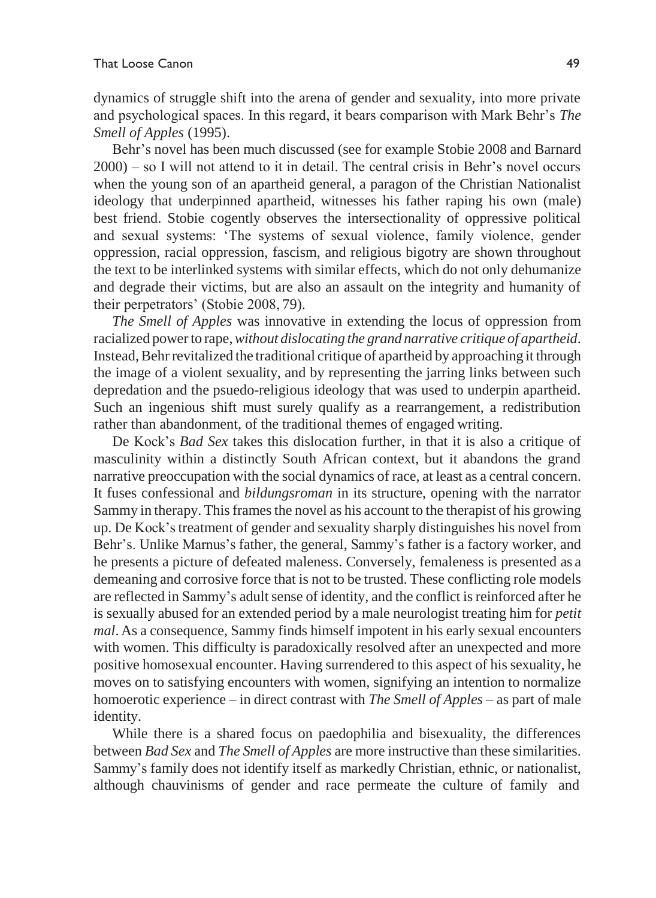dynamics of struggle shift into the arena of gender and sexuality, into more private and psychological spaces. In this regard, it bears comparison with Mark Behr's *The Smell of Apples* (1995).

Behr's novel has been much discussed (see for example Stobie 2008 and Barnard 2000) – so I will not attend to it in detail. The central crisis in Behr's novel occurs when the young son of an apartheid general, a paragon of the Christian Nationalist ideology that underpinned apartheid, witnesses his father raping his own (male) best friend. Stobie cogently observes the intersectionality of oppressive political and sexual systems: 'The systems of sexual violence, family violence, gender oppression, racial oppression, fascism, and religious bigotry are shown throughout the text to be interlinked systems with similar effects, which do not only dehumanize and degrade their victims, but are also an assault on the integrity and humanity of their perpetrators' (Stobie 2008, 79).

*The Smell of Apples* was innovative in extending the locus of oppression from racialized powerto rape,*without dislocating the grand narrative critique of apartheid*. Instead,Behrrevitalized the traditional critique of apartheid by approaching it through the image of a violent sexuality, and by representing the jarring links between such depredation and the psuedo-religious ideology that was used to underpin apartheid. Such an ingenious shift must surely qualify as a rearrangement, a redistribution rather than abandonment, of the traditional themes of engaged writing.

De Kock's *Bad Sex* takes this dislocation further, in that it is also a critique of masculinity within a distinctly South African context, but it abandons the grand narrative preoccupation with the social dynamics of race, at least as a central concern. It fuses confessional and *bildungsroman* in its structure, opening with the narrator Sammy in therapy. This frames the novel as his account to the therapist of his growing up. De Kock'streatment of gender and sexuality sharply distinguishes his novel from Behr's. Unlike Marnus's father, the general, Sammy's father is a factory worker, and he presents a picture of defeated maleness. Conversely, femaleness is presented as a demeaning and corrosive force that is not to be trusted. These conflicting role models are reflected in Sammy's adult sense of identity, and the conflict is reinforced after he is sexually abused for an extended period by a male neurologist treating him for *petit mal*. As a consequence, Sammy finds himself impotent in his early sexual encounters with women. This difficulty is paradoxically resolved after an unexpected and more positive homosexual encounter. Having surrendered to this aspect of his sexuality, he moves on to satisfying encounters with women, signifying an intention to normalize homoerotic experience – in direct contrast with *The Smell of Apples* – as part of male identity.

While there is a shared focus on paedophilia and bisexuality, the differences between *Bad Sex* and *The Smell of Apples* are more instructive than these similarities. Sammy's family does not identify itself as markedly Christian, ethnic, or nationalist, although chauvinisms of gender and race permeate the culture of family and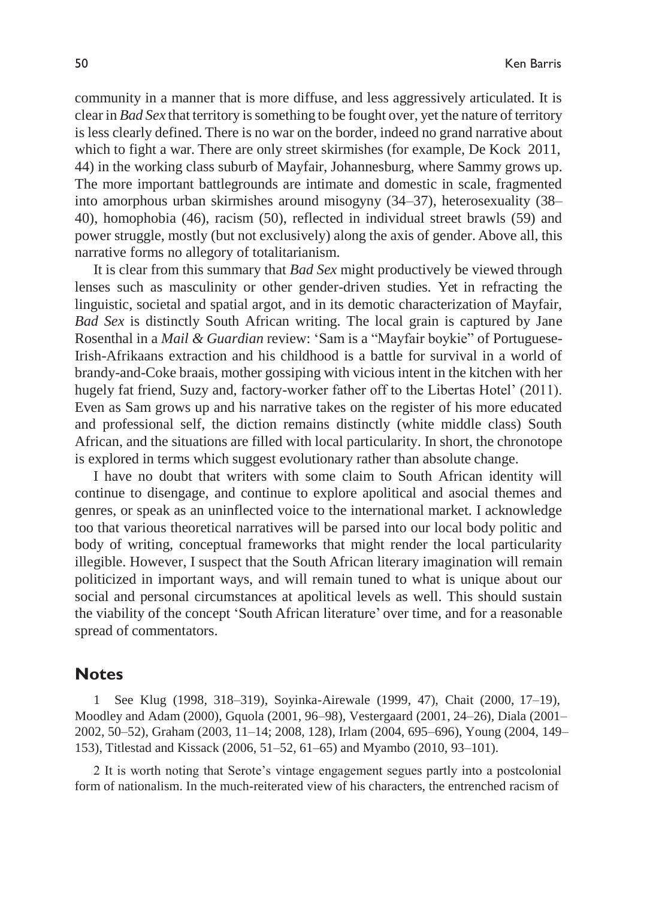community in a manner that is more diffuse, and less aggressively articulated. It is clear in *Bad Sex* that territory issomething to be fought over, yet the nature of territory is less clearly defined. There is no war on the border, indeed no grand narrative about which to fight a war. There are only street skirmishes (for example, De Kock 2011, 44) in the working class suburb of Mayfair, Johannesburg, where Sammy grows up. The more important battlegrounds are intimate and domestic in scale, fragmented into amorphous urban skirmishes around misogyny (34–37), heterosexuality (38– 40), homophobia (46), racism (50), reflected in individual street brawls (59) and power struggle, mostly (but not exclusively) along the axis of gender. Above all, this narrative forms no allegory of totalitarianism.

It is clear from this summary that *Bad Sex* might productively be viewed through lenses such as masculinity or other gender-driven studies. Yet in refracting the linguistic, societal and spatial argot, and in its demotic characterization of Mayfair, *Bad Sex* is distinctly South African writing. The local grain is captured by Jane Rosenthal in a *Mail & Guardian* review: 'Sam is a "Mayfair boykie" of Portuguese-Irish-Afrikaans extraction and his childhood is a battle for survival in a world of brandy-and-Coke braais, mother gossiping with vicious intent in the kitchen with her hugely fat friend, Suzy and, factory-worker father off to the Libertas Hotel' (2011). Even as Sam grows up and his narrative takes on the register of his more educated and professional self, the diction remains distinctly (white middle class) South African, and the situations are filled with local particularity. In short, the chronotope is explored in terms which suggest evolutionary rather than absolute change.

I have no doubt that writers with some claim to South African identity will continue to disengage, and continue to explore apolitical and asocial themes and genres, or speak as an uninflected voice to the international market. I acknowledge too that various theoretical narratives will be parsed into our local body politic and body of writing, conceptual frameworks that might render the local particularity illegible. However, I suspect that the South African literary imagination will remain politicized in important ways, and will remain tuned to what is unique about our social and personal circumstances at apolitical levels as well. This should sustain the viability of the concept 'South African literature' over time, and for a reasonable spread of commentators.

## **Notes**

1 See Klug (1998, 318–319), Soyinka-Airewale (1999, 47), Chait (2000, 17–19), Moodley and Adam (2000), Gquola (2001, 96–98), Vestergaard (2001, 24–26), Diala (2001– 2002, 50–52), Graham (2003, 11–14; 2008, 128), Irlam (2004, 695–696), Young (2004, 149– 153), Titlestad and Kissack (2006, 51–52, 61–65) and Myambo (2010, 93–101).

2 It is worth noting that Serote's vintage engagement segues partly into a postcolonial form of nationalism. In the much-reiterated view of his characters, the entrenched racism of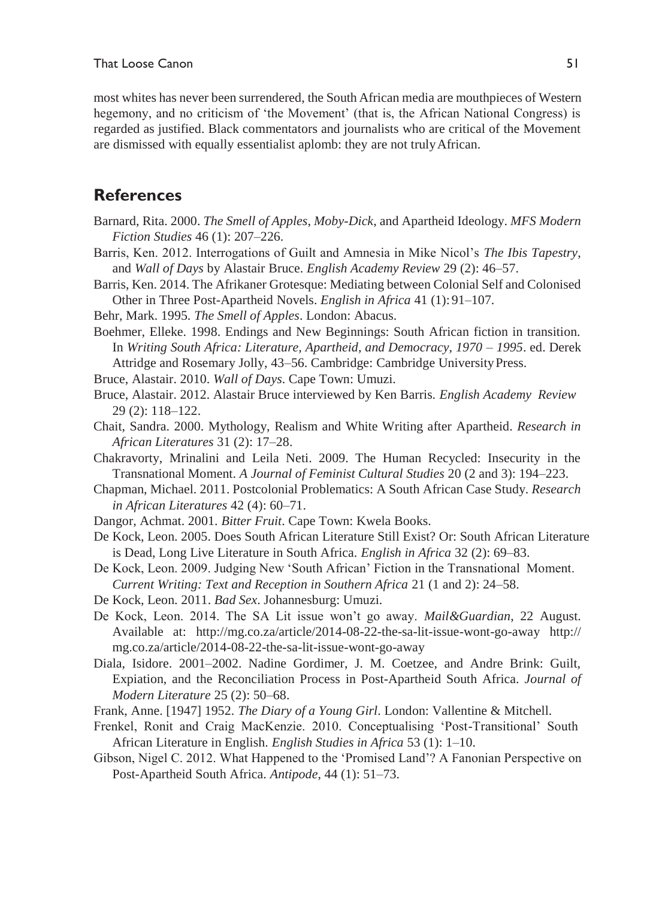most whites has never been surrendered, the South African media are mouthpieces of Western hegemony, and no criticism of 'the Movement' (that is, the African National Congress) is regarded as justified. Black commentators and journalists who are critical of the Movement are dismissed with equally essentialist aplomb: they are not trulyAfrican.

## **References**

- Barnard, Rita. 2000. *The Smell of Apples*, *Moby-Dick*, and Apartheid Ideology. *MFS Modern Fiction Studies* 46 (1): 207–226.
- Barris, Ken. 2012. Interrogations of Guilt and Amnesia in Mike Nicol's *The Ibis Tapestry*, and *Wall of Days* by Alastair Bruce. *English Academy Review* 29 (2): 46–57.
- Barris, Ken. 2014. The Afrikaner Grotesque: Mediating between Colonial Self and Colonised Other in Three Post-Apartheid Novels. *English in Africa* 41 (1): 91–107.
- Behr, Mark. 1995. *The Smell of Apples*. London: Abacus.
- Boehmer, Elleke. 1998. Endings and New Beginnings: South African fiction in transition. In *Writing South Africa: Literature, Apartheid, and Democracy, 1970 – 1995*. ed. Derek Attridge and Rosemary Jolly, 43–56. Cambridge: Cambridge UniversityPress.
- Bruce, Alastair. 2010. *Wall of Days*. Cape Town: Umuzi.
- Bruce, Alastair. 2012. Alastair Bruce interviewed by Ken Barris. *English Academy Review* 29 (2): 118–122.
- Chait, Sandra. 2000. Mythology, Realism and White Writing after Apartheid. *Research in African Literatures* 31 (2): 17–28.
- Chakravorty, Mrinalini and Leila Neti. 2009. The Human Recycled: Insecurity in the Transnational Moment. *A Journal of Feminist Cultural Studies* 20 (2 and 3): 194–223.
- Chapman, Michael. 2011. Postcolonial Problematics: A South African Case Study. *Research in African Literatures* 42 (4): 60–71.
- Dangor, Achmat. 2001. *Bitter Fruit*. Cape Town: Kwela Books.
- De Kock, Leon. 2005. Does South African Literature Still Exist? Or: South African Literature is Dead, Long Live Literature in South Africa. *English in Africa* 32 (2): 69–83.
- De Kock, Leon. 2009. Judging New 'South African' Fiction in the Transnational Moment. *Current Writing: Text and Reception in Southern Africa* 21 (1 and 2): 24–58.
- De Kock, Leon. 2011. *Bad Sex*. Johannesburg: Umuzi.
- De Kock, Leon. 2014. The SA Lit issue won't go away. *Mail&Guardian*, 22 August. Available at: <http://mg.co.za/article/2014-08-22-the-sa-lit-issue-wont-go-away> http:// mg.co.za/article/2014-08-22-the-sa-lit-issue-wont-go-away
- Diala, Isidore. 2001–2002. Nadine Gordimer, J. M. Coetzee, and Andre Brink: Guilt, Expiation, and the Reconciliation Process in Post-Apartheid South Africa. *Journal of Modern Literature* 25 (2): 50–68.
- Frank, Anne. [1947] 1952. *The Diary of a Young Girl*. London: Vallentine & Mitchell.
- Frenkel, Ronit and Craig MacKenzie. 2010. Conceptualising 'Post-Transitional' South African Literature in English. *English Studies in Africa* 53 (1): 1–10.
- Gibson, Nigel C. 2012. What Happened to the 'Promised Land'? A Fanonian Perspective on Post-Apartheid South Africa. *Antipode*, 44 (1): 51–73.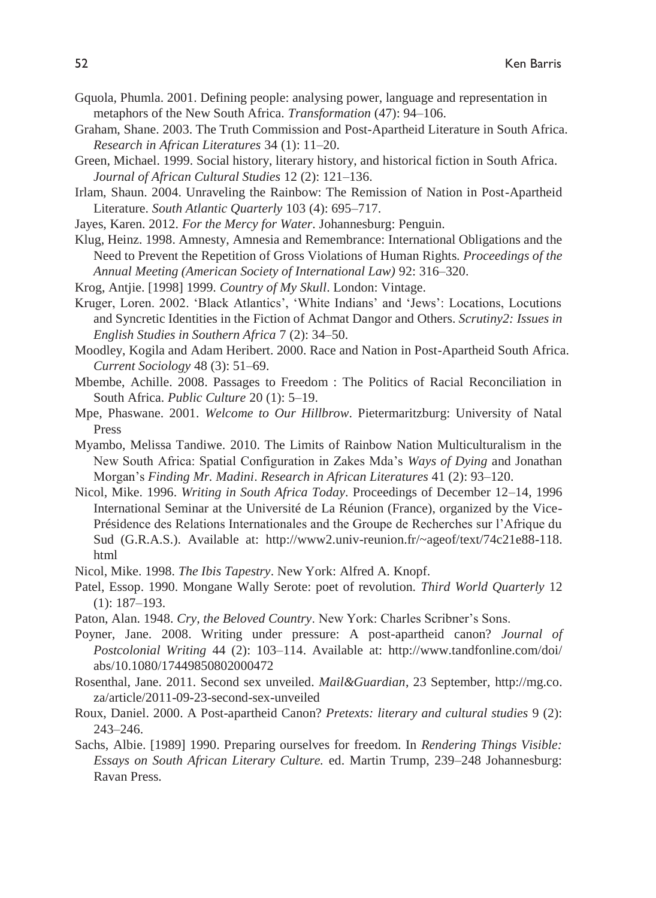- Gquola, Phumla. 2001. Defining people: analysing power, language and representation in metaphors of the New South Africa. *Transformation* (47): 94–106.
- Graham, Shane. 2003. The Truth Commission and Post-Apartheid Literature in South Africa. *Research in African Literatures* 34 (1): 11–20.
- Green, Michael. 1999. Social history, literary history, and historical fiction in South Africa. *Journal of African Cultural Studies* 12 (2): 121–136.
- Irlam, Shaun. 2004. Unraveling the Rainbow: The Remission of Nation in Post-Apartheid Literature. *South Atlantic Quarterly* 103 (4): 695–717.
- Jayes, Karen. 2012. *For the Mercy for Water*. Johannesburg: Penguin.
- Klug, Heinz. 1998. Amnesty, Amnesia and Remembrance: International Obligations and the Need to Prevent the Repetition of Gross Violations of Human Rights*. Proceedings of the Annual Meeting (American Society of International Law)* 92: 316–320.
- Krog, Antjie. [1998] 1999. *Country of My Skull*. London: Vintage.
- Kruger, Loren. 2002. 'Black Atlantics', 'White Indians' and 'Jews': Locations, Locutions and Syncretic Identities in the Fiction of Achmat Dangor and Others. *Scrutiny2: Issues in English Studies in Southern Africa* 7 (2): 34–50.
- Moodley, Kogila and Adam Heribert. 2000. Race and Nation in Post-Apartheid South Africa. *Current Sociology* 48 (3): 51–69.
- Mbembe, Achille. 2008. Passages to Freedom : The Politics of Racial Reconciliation in South Africa. *Public Culture* 20 (1): 5–19.
- Mpe, Phaswane. 2001. *Welcome to Our Hillbrow*. Pietermaritzburg: University of Natal Press
- Myambo, Melissa Tandiwe. 2010. The Limits of Rainbow Nation Multiculturalism in the New South Africa: Spatial Configuration in Zakes Mda's *Ways of Dying* and Jonathan Morgan's *Finding Mr. Madini*. *Research in African Literatures* 41 (2): 93–120.
- Nicol, Mike. 1996. *Writing in South Africa Today*. Proceedings of December 12–14, 1996 International Seminar at the Université de La Réunion (France), organized by the Vice-Présidence des Relations Internationales and the Groupe de Recherches sur l'Afrique du Sud (G.R.A.S.). Available at: [http://www2.univ-reunion.fr/~ageof/text/74c21e88-118.](http://www2.univ-reunion.fr/~ageof/text/74c21e88-118) html
- Nicol, Mike. 1998. *The Ibis Tapestry*. New York: Alfred A. Knopf.
- Patel, Essop. 1990. Mongane Wally Serote: poet of revolution. *Third World Quarterly* 12 (1): 187–193.
- Paton, Alan. 1948. *Cry, the Beloved Country*. New York: Charles Scribner's Sons.
- Poyner, Jane. 2008. Writing under pressure: A post-apartheid canon? *Journal of Postcolonial Writing* 44 (2): 103–114. Available at:<http://www.tandfonline.com/doi/> abs/10.1080/17449850802000472
- Rosenthal, Jane. 2011. Second sex unveiled. *Mail&Guardian*, 23 September, [http://mg.co.](http://mg.co/) za/article/2011-09-23-second-sex-unveiled
- Roux, Daniel. 2000. A Post-apartheid Canon? *Pretexts: literary and cultural studies* 9 (2): 243–246.
- Sachs, Albie. [1989] 1990. Preparing ourselves for freedom. In *Rendering Things Visible: Essays on South African Literary Culture.* ed. Martin Trump, 239–248 Johannesburg: Ravan Press.